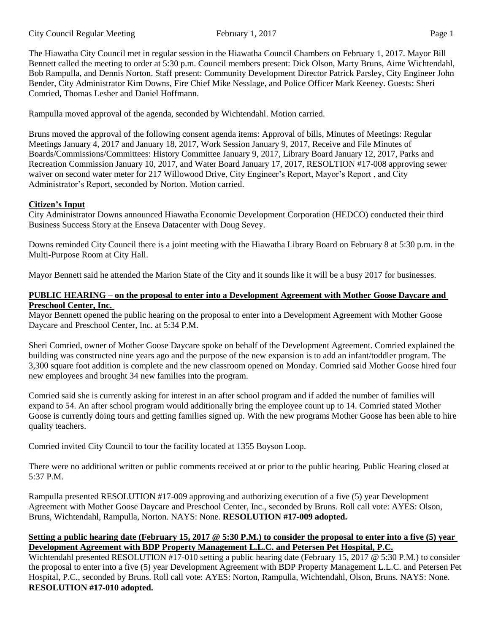The Hiawatha City Council met in regular session in the Hiawatha Council Chambers on February 1, 2017. Mayor Bill Bennett called the meeting to order at 5:30 p.m. Council members present: Dick Olson, Marty Bruns, Aime Wichtendahl, Bob Rampulla, and Dennis Norton. Staff present: Community Development Director Patrick Parsley, City Engineer John Bender, City Administrator Kim Downs, Fire Chief Mike Nesslage, and Police Officer Mark Keeney. Guests: Sheri Comried, Thomas Lesher and Daniel Hoffmann.

Rampulla moved approval of the agenda, seconded by Wichtendahl. Motion carried.

Bruns moved the approval of the following consent agenda items: Approval of bills, Minutes of Meetings: Regular Meetings January 4, 2017 and January 18, 2017, Work Session January 9, 2017, Receive and File Minutes of Boards/Commissions/Committees: History Committee January 9, 2017, Library Board January 12, 2017, Parks and Recreation Commission January 10, 2017, and Water Board January 17, 2017, RESOLTION #17-008 approving sewer waiver on second water meter for 217 Willowood Drive, City Engineer's Report, Mayor's Report , and City Administrator's Report, seconded by Norton. Motion carried.

# **Citizen's Input**

City Administrator Downs announced Hiawatha Economic Development Corporation (HEDCO) conducted their third Business Success Story at the Enseva Datacenter with Doug Sevey.

Downs reminded City Council there is a joint meeting with the Hiawatha Library Board on February 8 at 5:30 p.m. in the Multi-Purpose Room at City Hall.

Mayor Bennett said he attended the Marion State of the City and it sounds like it will be a busy 2017 for businesses.

### **PUBLIC HEARING – on the proposal to enter into a Development Agreement with Mother Goose Daycare and Preschool Center, Inc.**

Mayor Bennett opened the public hearing on the proposal to enter into a Development Agreement with Mother Goose Daycare and Preschool Center, Inc. at 5:34 P.M.

Sheri Comried, owner of Mother Goose Daycare spoke on behalf of the Development Agreement. Comried explained the building was constructed nine years ago and the purpose of the new expansion is to add an infant/toddler program. The 3,300 square foot addition is complete and the new classroom opened on Monday. Comried said Mother Goose hired four new employees and brought 34 new families into the program.

Comried said she is currently asking for interest in an after school program and if added the number of families will expand to 54. An after school program would additionally bring the employee count up to 14. Comried stated Mother Goose is currently doing tours and getting families signed up. With the new programs Mother Goose has been able to hire quality teachers.

Comried invited City Council to tour the facility located at 1355 Boyson Loop.

There were no additional written or public comments received at or prior to the public hearing. Public Hearing closed at 5:37 P.M.

Rampulla presented RESOLUTION #17-009 approving and authorizing execution of a five (5) year Development Agreement with Mother Goose Daycare and Preschool Center, Inc., seconded by Bruns. Roll call vote: AYES: Olson, Bruns, Wichtendahl, Rampulla, Norton. NAYS: None. **RESOLUTION #17-009 adopted.**

## **Setting a public hearing date (February 15, 2017 @ 5:30 P.M.) to consider the proposal to enter into a five (5) year Development Agreement with BDP Property Management L.L.C. and Petersen Pet Hospital, P.C.**

Wichtendahl presented RESOLUTION #17-010 setting a public hearing date (February 15, 2017 @ 5:30 P.M.) to consider the proposal to enter into a five (5) year Development Agreement with BDP Property Management L.L.C. and Petersen Pet Hospital, P.C., seconded by Bruns. Roll call vote: AYES: Norton, Rampulla, Wichtendahl, Olson, Bruns. NAYS: None. **RESOLUTION #17-010 adopted.**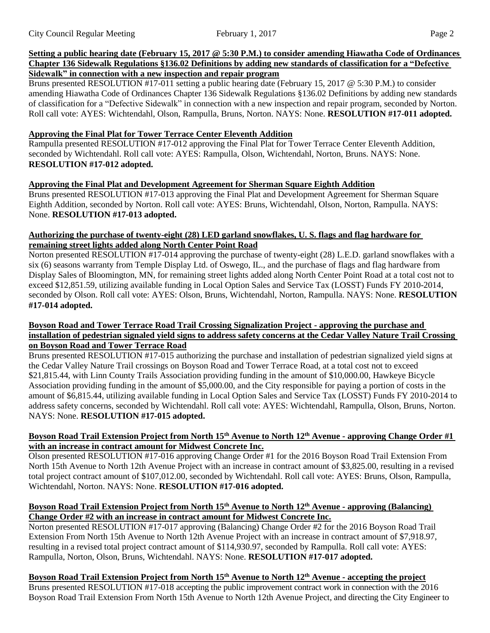#### Setting a public hearing date (February 15, 2017 @ 5:30 P.M.) to consider amending Hiawatha Code of Ordinances **Chapter 136 Sidewalk Regulations §136.02 Definitions by adding new standards of classification for a "Defective Sidewalk" in connection with a new inspection and repair program**

Bruns presented RESOLUTION #17-011 setting a public hearing date (February 15, 2017 @ 5:30 P.M.) to consider amending Hiawatha Code of Ordinances Chapter 136 Sidewalk Regulations §136.02 Definitions by adding new standards of classification for a "Defective Sidewalk" in connection with a new inspection and repair program, seconded by Norton. Roll call vote: AYES: Wichtendahl, Olson, Rampulla, Bruns, Norton. NAYS: None. **RESOLUTION #17-011 adopted.**

# **Approving the Final Plat for Tower Terrace Center Eleventh Addition**

Rampulla presented RESOLUTION #17-012 approving the Final Plat for Tower Terrace Center Eleventh Addition, seconded by Wichtendahl. Roll call vote: AYES: Rampulla, Olson, Wichtendahl, Norton, Bruns. NAYS: None. **RESOLUTION #17-012 adopted.**

## **Approving the Final Plat and Development Agreement for Sherman Square Eighth Addition**

Bruns presented RESOLUTION #17-013 approving the Final Plat and Development Agreement for Sherman Square Eighth Addition, seconded by Norton. Roll call vote: AYES: Bruns, Wichtendahl, Olson, Norton, Rampulla. NAYS: None. **RESOLUTION #17-013 adopted.**

### **Authorizing the purchase of twenty-eight (28) LED garland snowflakes, U. S. flags and flag hardware for remaining street lights added along North Center Point Road**

Norton presented RESOLUTION #17-014 approving the purchase of twenty-eight (28) L.E.D. garland snowflakes with a six (6) seasons warranty from Temple Display Ltd. of Oswego, IL., and the purchase of flags and flag hardware from Display Sales of Bloomington, MN, for remaining street lights added along North Center Point Road at a total cost not to exceed \$12,851.59, utilizing available funding in Local Option Sales and Service Tax (LOSST) Funds FY 2010-2014, seconded by Olson. Roll call vote: AYES: Olson, Bruns, Wichtendahl, Norton, Rampulla. NAYS: None. **RESOLUTION #17-014 adopted.**

### **Boyson Road and Tower Terrace Road Trail Crossing Signalization Project - approving the purchase and installation of pedestrian signaled yield signs to address safety concerns at the Cedar Valley Nature Trail Crossing on Boyson Road and Tower Terrace Road**

Bruns presented RESOLUTION #17-015 authorizing the purchase and installation of pedestrian signalized yield signs at the Cedar Valley Nature Trail crossings on Boyson Road and Tower Terrace Road, at a total cost not to exceed \$21,815.44, with Linn County Trails Association providing funding in the amount of \$10,000.00, Hawkeye Bicycle Association providing funding in the amount of \$5,000.00, and the City responsible for paying a portion of costs in the amount of \$6,815.44, utilizing available funding in Local Option Sales and Service Tax (LOSST) Funds FY 2010-2014 to address safety concerns, seconded by Wichtendahl. Roll call vote: AYES: Wichtendahl, Rampulla, Olson, Bruns, Norton. NAYS: None. **RESOLUTION #17-015 adopted.**

### **Boyson Road Trail Extension Project from North 15th Avenue to North 12th Avenue - approving Change Order #1 with an increase in contract amount for Midwest Concrete Inc.**

Olson presented RESOLUTION #17-016 approving Change Order #1 for the 2016 Boyson Road Trail Extension From North 15th Avenue to North 12th Avenue Project with an increase in contract amount of \$3,825.00, resulting in a revised total project contract amount of \$107,012.00, seconded by Wichtendahl. Roll call vote: AYES: Bruns, Olson, Rampulla, Wichtendahl, Norton. NAYS: None. **RESOLUTION #17-016 adopted.**

### **Boyson Road Trail Extension Project from North 15th Avenue to North 12th Avenue - approving (Balancing) Change Order #2 with an increase in contract amount for Midwest Concrete Inc.**

Norton presented RESOLUTION #17-017 approving (Balancing) Change Order #2 for the 2016 Boyson Road Trail Extension From North 15th Avenue to North 12th Avenue Project with an increase in contract amount of \$7,918.97, resulting in a revised total project contract amount of \$114,930.97, seconded by Rampulla. Roll call vote: AYES: Rampulla, Norton, Olson, Bruns, Wichtendahl. NAYS: None. **RESOLUTION #17-017 adopted.**

# Boyson Road Trail Extension Project from North 15<sup>th</sup> Avenue to North 12<sup>th</sup> Avenue - accepting the project

Bruns presented RESOLUTION #17-018 accepting the public improvement contract work in connection with the 2016 Boyson Road Trail Extension From North 15th Avenue to North 12th Avenue Project, and directing the City Engineer to